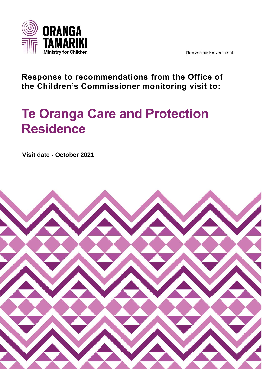

New Zealand Government

**Response to recommendations from the Office of the Children's Commissioner monitoring visit to:**

# **Te Oranga Care and Protection Residence**

**Visit date - October 2021**

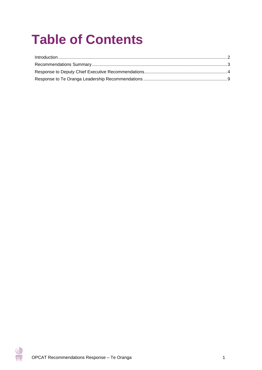# **Table of Contents**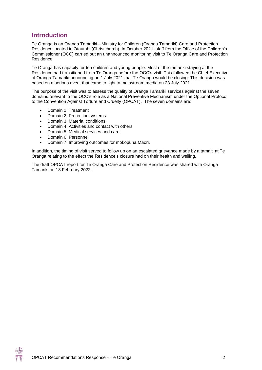# <span id="page-2-0"></span>**Introduction**

Te Oranga is an Oranga Tamariki—Ministry for Children (Oranga Tamariki) Care and Protection Residence located in Otautahi (Christchurch). In October 2021, staff from the Office of the Children's Commissioner (OCC) carried out an unannounced monitoring visit to Te Oranga Care and Protection Residence.

Te Oranga has capacity for ten children and young people. Most of the tamariki staying at the Residence had transitioned from Te Oranga before the OCC's visit. This followed the Chief Executive of Oranga Tamariki announcing on 1 July 2021 that Te Oranga would be closing. This decision was based on a serious event that came to light in mainstream media on 28 July 2021.

The purpose of the visit was to assess the quality of Oranga Tamariki services against the seven domains relevant to the OCC's role as a National Preventive Mechanism under the Optional Protocol to the Convention Against Torture and Cruelty (OPCAT). The seven domains are:

- Domain 1: Treatment
- Domain 2: Protection systems
- Domain 3: Material conditions
- Domain 4: Activities and contact with others
- Domain 5: Medical services and care
- Domain 6: Personnel
- Domain 7: Improving outcomes for mokopuna Māori.

In addition, the timing of visit served to follow up on an escalated grievance made by a tamaiti at Te Oranga relating to the effect the Residence's closure had on their health and welling.

The draft OPCAT report for Te Oranga Care and Protection Residence was shared with Oranga Tamariki on 18 February 2022.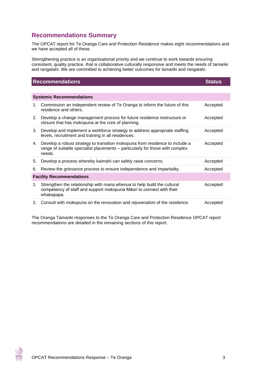# <span id="page-3-0"></span>**Recommendations Summary**

The OPCAT report for Te Oranga Care and Protection Residence makes eight recommendations and we have accepted all of these.

Strengthening practice is an organisational priority and we continue to work towards ensuring consistent, quality practice, that is collaborative culturally responsive and meets the needs of tamariki and rangatahi. We are committed to achieving better outcomes for tamariki and rangatahi.

| <b>Recommendations</b>          |                                                                                                                                                                         | <b>Status</b> |  |
|---------------------------------|-------------------------------------------------------------------------------------------------------------------------------------------------------------------------|---------------|--|
|                                 |                                                                                                                                                                         |               |  |
| <b>Systemic Recommendations</b> |                                                                                                                                                                         |               |  |
| 1.                              | Commission an independent review of Te Oranga to inform the future of this<br>residence and others.                                                                     | Accepted      |  |
| 2.                              | Develop a change management process for future residence restructure or<br>closure that has mokopuna at the core of planning.                                           | Accepted      |  |
| 3.                              | Develop and implement a workforce strategy to address appropriate staffing<br>levels, recruitment and training in all residences.                                       | Accepted      |  |
| 4.                              | Develop a robust strategy to transition mokopuna from residence to include a<br>range of suitable specialist placements – particularly for those with complex<br>needs. | Accepted      |  |
| 5.                              | Develop a process whereby kaimahi can safely raise concerns.                                                                                                            | Accepted      |  |
| 6.                              | Review the grievance process to ensure independence and impartiality.                                                                                                   | Accepted      |  |
| <b>Facility Recommendations</b> |                                                                                                                                                                         |               |  |
| 1.                              | Strengthen the relationship with mana whenua to help build the cultural<br>competency of staff and support mokopuna Māori to connect with their<br>whakapapa.           | Accepted      |  |
| 2.                              | Consult with mokopuna on the renovation and rejuvenation of the residence.                                                                                              | Accepted      |  |

The Oranga Tamariki responses to the Te Oranga Care and Protection Residence OPCAT report recommendations are detailed in the remaining sections of this report.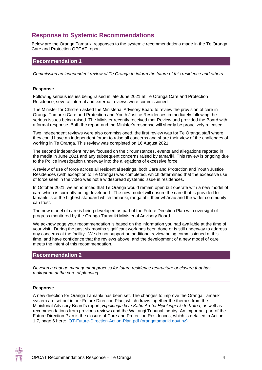# <span id="page-4-0"></span>**Response to Systemic Recommendations**

Below are the Oranga Tamariki responses to the systemic recommendations made in the Te Oranga Care and Protection OPCAT report.

## **Recommendation 1**

*Commission an independent review of Te Oranga to inform the future of this residence and others.*

#### **Response**

Following serious issues being raised in late June 2021 at Te Oranga Care and Protection Residence, several internal and external reviews were commissioned.

The Minister for Children asked the Ministerial Advisory Board to review the provision of care in Oranga Tamariki Care and Protection and Youth Justice Residences immediately following the serious issues being raised. The Minister recently received that Review and provided the Board with a formal response. Both the report and the Minister's response will shortly be proactively released.

Two independent reviews were also commissioned, the first review was for Te Oranga staff where they could have an independent forum to raise all concerns and share their view of the challenges of working in Te Oranga. This review was completed on 16 August 2021.

The second independent review focused on the circumstances, events and allegations reported in the media in June 2021 and any subsequent concerns raised by tamariki. This review is ongoing due to the Police investigation underway into the allegations of excessive force.

A review of use of force across all residential settings, both Care and Protection and Youth Justice Residences (with exception to Te Oranga) was completed, which determined that the excessive use of force seen in the video was not a widespread systemic issue in residences.

In October 2021, we announced that Te Oranga would remain open but operate with a new model of care which is currently being developed. The new model will ensure the care that is provided to tamariki is at the highest standard which tamariki, rangatahi, their whānau and the wider community can trust.

The new model of care is being developed as part of the Future Direction Plan with oversight of progress monitored by the Oranga Tamariki Ministerial Advisory Board.

We acknowledge your recommendation is based on the information you had available at the time of your visit. During the past six months significant work has been done or is still underway to address any concerns at the facility. We do not support an additional review being commissioned at this time, and have confidence that the reviews above, and the development of a new model of care meets the intent of this recommendation.

# **Recommendation 2**

*Develop a change management process for future residence restructure or closure that has mokopuna at the core of planning*

#### **Response**

A new direction for Oranga Tamariki has been set. The changes to improve the Oranga Tamariki system are set out in our Future Direction Plan, which draws together the themes from the Ministerial Advisory Board's report, *Hipokingia ki te Kahu Aroha Hipokingia ki te Katoa*, as well as recommendations from previous reviews and the Waitangi Tribunal inquiry. An important part of the Future Direction Plan is the closure of Care and Protection Residences, which is detailed in Action 1.7, page 6 here: [OT-Future-Direction-Action-Plan.pdf \(orangatamariki.govt.nz\)](https://www.orangatamariki.govt.nz/assets/Uploads/About-us/News/2021/MAB-report-action-plan-release/OT-Future-Direction-Action-Plan.pdf)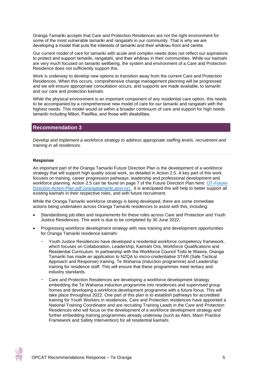Oranga Tamariki accepts that Care and Protection Residences are not the right environment for some of the most vulnerable tamariki and rangatahi in our community. That is why we are developing a model that puts the interests of tamariki and their whānau front and centre.

Our current model of care for tamariki with acute and complex needs does not reflect our aspirations to protect and support tamariki, rangatahi, and their whānau in their communities. While our kaimahi are very much focused on tamariki wellbeing, the system and environment of a Care and Protection Residence does not sufficiently support this.

Work is underway to develop new options to transition away from the current Care and Protection Residences. When this occurs, comprehensive change management planning will be progressed and we will ensure appropriate consultation occurs, and supports are made available, to tamariki and our care and protection kaimahi.

While the physical environment is an important component of any residential care option, this needs to be accompanied by a comprehensive new model of care for our tamariki and rangatahi with the highest needs. This model would sit within a broader continuum of care and support for high needs tamariki including Māori, Pasifika, and those with disabilities.

### **Recommendation 3**

*Develop and implement a workforce strategy to address appropriate staffing levels, recruitment and training in all residences.*

#### **Response**

An important part of the Oranga Tamariki Future Direction Plan is the development of a workforce strategy that will support high quality social work, as detailed in Action 2.5. A key part of this work focuses on training, career progression pathways, leadership and professional development and workforce planning. Action 2.5 can be found on page 7 of the Future Direction Plan here: [OT-Future-](https://www.orangatamariki.govt.nz/assets/Uploads/About-us/News/2021/MAB-report-action-plan-release/OT-Future-Direction-Action-Plan.pdf)[Direction-Action-Plan.pdf \(orangatamariki.govt.nz\)](https://www.orangatamariki.govt.nz/assets/Uploads/About-us/News/2021/MAB-report-action-plan-release/OT-Future-Direction-Action-Plan.pdf). It is anticipated this will help to better support all existing kaimahi in their respective roles, and with future recruitment.

While the Oranga Tamariki workforce strategy is being developed, there are some immediate actions being undertaken across Oranga Tamariki residences to assist with this, including:

- Standardising job titles and requirements for these roles across Care and Protection and Youth Justice Residences. This work is due to be completed by 30 June 2022.
- Progressing workforce development strategy with new training and development opportunities for Oranga Tamariki residence kaimahi:
	- − Youth Justice Residences have developed a residential workforce competency framework, which focuses on Collaboration, Leadership, Kaimahi Ora, Workforce Qualifications and Residential Curriculum. In partnership with the Workforce Council Toitū te Waiora, Oranga Tamariki has made an application to NZQA to micro-credentialise STAR (Safe Tactical Approach and Response) training, Te Waharoa (induction programme) and Leadership training for residence staff. This will ensure that these programmes meet tertiary and industry standards.
	- Care and Protection Residences are developing a workforce development strategy embedding the Te Waharoa induction programme into residences and supervised group homes and developing a workforce development programme with a future focus. This will take place throughout 2022. One part of this plan is to establish pathways for accredited training for Youth Workers in residences. Care and Protection residences have appointed a National Training Coordinator and are recruiting Training Leads in the Care and Protection Residences who will focus on the development of a workforce development strategy and further embedding training programmes already underway (such as Alert, Maori Practice Framework and Safety Intervention) for all residential kaimahi.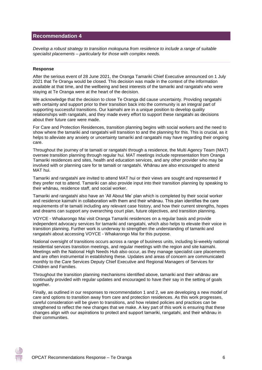# **Recommendation 4**

*Develop a robust strategy to transition mokopuna from residence to include a range of suitable specialist placements – particularly for those with complex needs.*

#### **Response**

After the serious event of 28 June 2021, the Oranga Tamariki Chief Executive announced on 1 July 2021 that Te Oranga would be closed. This decision was made in the context of the information available at that time, and the wellbeing and best interests of the tamariki and rangatahi who were staying at Te Oranga were at the heart of the decision.

We acknowledge that the decision to close Te Oranga did cause uncertainty. Providing rangatahi with certainty and support prior to their transition back into the community is an integral part of supporting successful transitions. Our kaimahi are in a unique position to develop quality relationships with rangatahi, and they made every effort to support these rangatahi as decisions about their future care were made.

For Care and Protection Residences, transition planning begins with social workers and the need to show where the tamariki and rangatahi will transition to and the planning for this. This is crucial, as it helps to alleviate any anxiety or uncertainty tamariki and rangatahi may have regarding their ongoing care.

Throughout the journey of te tamaiti or rangatahi through a residence, the Multi Agency Team (MAT) oversee transition planning through regular hui. MAT meetings include representation from Oranga Tamariki residences and sites, health and education services, and any other provider who may be involved with or planning care for te tamaiti or rangatahi. Whānau are also encouraged to attend MAT hui.

Tamariki and rangatahi are invited to attend MAT hui or their views are sought and represented if they prefer not to attend. Tamariki can also provide input into their transition planning by speaking to their whānau, residence staff, and social worker.

Tamariki and rangatahi also have an 'All About Me' plan which is completed by their social worker and residence kaimahi in collaboration with them and their whānau. This plan identifies the care requirements of te tamaiti including any relevant case history, and how their current strengths, hopes and dreams can support any overarching court plan, future objectives, and transition planning.

VOYCE - Whakarongo Mai visit Oranga Tamariki residences on a regular basis and provide independent advocacy services for tamariki and rangatahi, which also helps to elevate their voice in transition planning. Further work is underway to strengthen the understanding of tamariki and rangatahi about accessing VOYCE - Whakarongo Mai for this purpose.

National oversight of transitions occurs across a range of business units, including bi-weekly national residential services transition meetings, and regular meetings with the region and site kaimahi. Meetings with the National High Needs Hub also occur, as they manage specialist care placements and are often instrumental in establishing these. Updates and areas of concern are communicated monthly to the Care Services Deputy Chief Executive and Regional Managers of Services for Children and Families.

Throughout the transition planning mechanisms identified above, tamariki and their whānau are continually provided with regular updates and encouraged to have their say in the setting of goals together.

Finally, as outlined in our responses to recommendation 1 and 2, we are developing a new model of care and options to transition away from care and protection residences. As this work progresses, careful consideration will be given to transitions, and how related policies and practices can be stregthened to reflect the new changes that we make. A key part of this work is ensuring that these changes align with our aspirations to protect and support tamariki, rangatahi, and their whānau in their communities.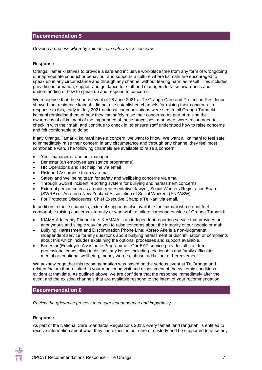# **Recommendation 5**

*Develop a process whereby kaimahi can safely raise concerns*.

#### **Response**

Oranga Tamariki strives to provide a safe and inclusive workplace free from any form of wrongdoing or inappropriate conduct or behaviour and supports a culture where kaimahi are encouraged to speak up in any circumstance and through any channel without fearing harm as result. This includes providing information, support and guidance for staff and managers to raise awareness and understanding of how to speak up and respond to concerns.

We recognise that the serious event of 28 June 2021 at Te Oranga Care and Protection Residence showed that residence kaimahi did not use established channels for raising their concerns. In response to this, early in July 2021 national communications were sent to all Oranga Tamariki kaimahi reminding them of how they can safely raise their concerns. As part of raising the awareness of all kaimahi of the importance of these processes, managers were encouraged to check in with their staff, and continue to check in, to ensure staff understood how to raise concerns and felt comfortable to do so.

If any Oranga Tamariki kaimahi have a concern, we want to know. We want all kaimahi to feel safe to immediately raise their concern in any circumstance and through any channel they feel most comfortable with. The following channels are available to raise a concern:

- Your manager or another manager
- Benestar (an employee assistance programme)
- HR Operations and HR helpline via email
- Risk and Assurance team via email
- Safety and Wellbeing team for safety and wellbeing concerns via email
- Through SOSHI incident reporting system for bullying and harassment concerns
- External person such as a union representative, lawyer, Social Workers Registration Board (SWRB) or Aotearoa New Zealand Association of Social Workers (ANZASW)
- For Protected Disclosures, Chief Executive Chappie Te Kani via email.

In addition to these channels, external support is also available for kaimahi who do not feel comfortable raising concerns internally or who wish to talk to someone outside of Oranga Tamariki:

- KIAMAIA Integrity Phone Line: KIAMAIA is an independent reporting service that provides an anonymous and simple way for you to raise concerns about the integrity of our people or mahi.
- Bullying, Harassment and Discrimination Phone Line: Kōrero Ake is a non-judgmental, independent service for any questions about bullying harassment or discrimination or complaints about this which includes explaining the options, processes and support available.
- Benestar (Employee Assistance Programme): Our EAP service provides all staff free professional counselling to discuss any issues including relationship and family difficulties, mental or emotional wellbeing, money worries, abuse, addiction, or bereavement.

We acknowledge that this recommendation was based on the serious event at Te Oranga and related factors that resulted in your monitoring visit and assessment of the systemic conditions evident at that time. As outlined above, we are confident that the response immediately after the event and the existing channels that are available respond to the intent of your recommendation.

# **Recommendation 6**

*Review the grievance process to ensure independence and impartiality.*

#### **Response**

As part of the National Care Standards Regulations 2018, every tamaiti and rangatahi is entitled to receive information about what they can expect in our care or custody and be supported to raise any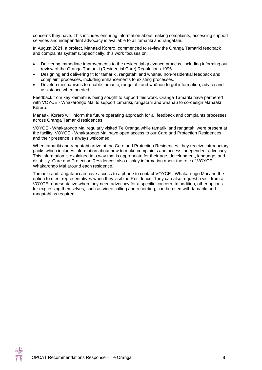concerns they have. This includes ensuring information about making complaints, accessing support services and independent advocacy is available to all tamariki and rangatahi.

In August 2021, a project, Manaaki Kōrero, commenced to review the Oranga Tamariki feedback and complaints systems. Specifically, this work focuses on:

- Delivering immediate improvements to the residential grievance process, including informing our review of the Oranga Tamariki (Residential Care) Regulations 1996.
- Designing and delivering fit for tamariki, rangatahi and whānau non-residential feedback and complaint processes, including enhancements to existing processes.
- Develop mechanisms to enable tamariki, rangatahi and whānau to get information, advice and assistance when needed.

Feedback from key kaimahi is being sought to support this work. Oranga Tamariki have partnered with VOYCE - Whakarongo Mai to support tamariki, rangatahi and whānau to co-design Manaaki Kōrero.

Manaaki Kōrero will inform the future operating approach for all feedback and complaints processes across Oranga Tamariki residences.

VOYCE - Whakarongo Mai regularly visited Te Oranga while tamariki and rangatahi were present at the facility. VOYCE - Whakarongo Mai have open access to our Care and Protection Residences, and their presence is always welcomed.

When tamariki and rangatahi arrive at the Care and Protection Residences, they receive introductory packs which includes information about how to make complaints and access independent advocacy. This information is explained in a way that is appropriate for their age, development, language, and disability. Care and Protection Residences also display information about the role of VOYCE - Whakarongo Mai around each residence.

Tamariki and rangatahi can have access to a phone to contact VOYCE - Whakarongo Mai and the option to meet representatives when they visit the Residence. They can also request a visit from a VOYCE representative when they need advocacy for a specific concern. In addition, other options for expressing themselves, such as video calling and recording, can be used with tamariki and rangatahi as required.